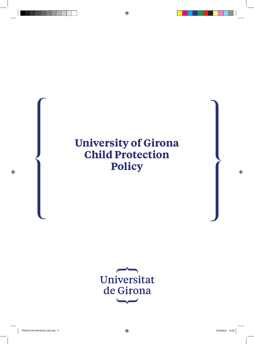# **University of Girona Child Protection Policy**

Universitat de Girona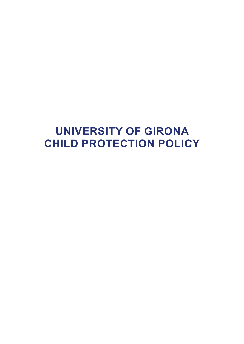# **UNIVERSITY OF GIRONA CHILD PROTECTION POLICY**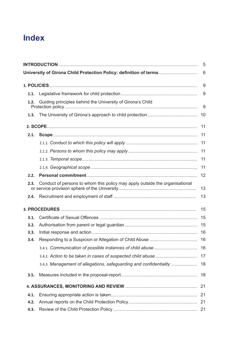## **Index**

|      |                                                                             | 5  |
|------|-----------------------------------------------------------------------------|----|
|      | University of Girona Child Protection Policy: definition of terms           | 6  |
|      |                                                                             | 9  |
| 1.1. |                                                                             | 9  |
| 1.2. | Guiding principles behind the University of Girona's Child                  | 9  |
| 1.3. |                                                                             | 10 |
|      |                                                                             | 11 |
| 2.1. |                                                                             | 11 |
|      |                                                                             | 11 |
|      |                                                                             | 11 |
|      |                                                                             | 11 |
|      |                                                                             | 11 |
| 2.2. |                                                                             | 12 |
| 2.3. | Conduct of persons to whom this policy may apply outside the organisational | 13 |
| 2.4. |                                                                             | 13 |
|      |                                                                             | 15 |
| 3.1. |                                                                             |    |
| 3.2. |                                                                             |    |
| 3.3. |                                                                             |    |
| 3.4. |                                                                             |    |
|      |                                                                             |    |
|      |                                                                             |    |
|      | 3.4.3. Management of allegations, safeguarding and confidentiality  18      |    |
| 3.5. |                                                                             |    |
|      |                                                                             |    |
| 4.1. |                                                                             |    |
| 4.2. |                                                                             |    |
| 4.3. |                                                                             |    |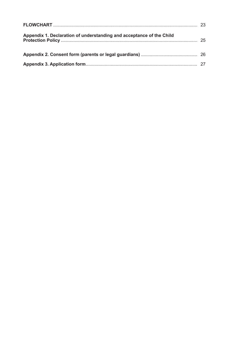| Appendix 1. Declaration of understanding and acceptance of the Child |  |
|----------------------------------------------------------------------|--|
|                                                                      |  |
|                                                                      |  |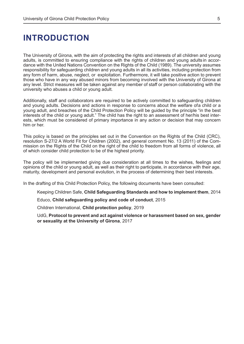## **INTRODUCTION**

The University of Girona, with the aim of protecting the rights and interests of all children and young adults, is committed to ensuring compliance with the rights of children and young adults in accordance with the United Nations Convention on the Rights of the Child (1989). The university assumes responsibility for safeguarding children and young adults in all its activities, including protection from any form of harm, abuse, neglect, or exploitation. Furthermore, it will take positive action to prevent those who have in any way abused minors from becoming involved with the University of Girona at any level. Strict measures will be taken against any member of staff or person collaborating with the university who abuses a child or young adult.

Additionally, staff and collaborators are required to be actively committed to safeguarding children and young adults. Decisions and actions in response to concerns about the welfare of a child or a young adult, and breaches of the Child Protection Policy will be guided by the principle "in the best interests of the child or young adult." The child has the right to an assessment of her/his best interests, which must be considered of primary importance in any action or decision that may concern him or her.

This policy is based on the principles set out in the Convention on the Rights of the Child (CRC), resolution S-27/2 A World Fit for Children (2002), and general comment No. 13 (2011) of the Commission on the Rights of the Child on the right of the child to freedom from all forms of violence, all of which consider child protection to be of the highest priority.

The policy will be implemented giving due consideration at all times to the wishes, feelings and opinions of the child or young adult, as well as their right to participate, in accordance with their age, maturity, development and personal evolution, in the process of determining their best interests.

In the drafting of this Child Protection Policy, the following documents have been consulted:

Keeping Children Safe, **Child Safeguarding Standards and how to implement them**, 2014

Educo, **Child safeguarding policy and code of conduct**, 2015

Children International, **Child protection policy**, 2019

UdG, **Protocol to prevent and act against violence or harassment based on sex, gender or sexuality at the University of Girona**, 2017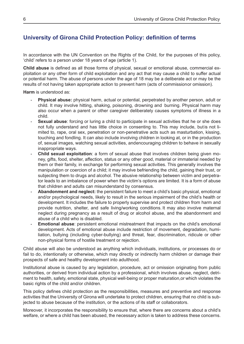## **University of Girona Child Protection Policy: definition of terms**

In accordance with the UN Convention on the Rights of the Child, for the purposes of this policy, 'child' refers to a person under 18 years of age (article 1).

**Child abuse** is defined as all those forms of physical, sexual or emotional abuse, commercial exploitation or any other form of child exploitation and any act that may cause a child to suffer actual or potential harm. The abuse of persons under the age of 18 may be a deliberate act or may be the results of not having taken appropriate action to prevent harm (acts of commission or omission).

**Harm** is understood as:

- **- Physical abuse:** physical harm, actual or potential, perpetrated by another person, adult or child. It may involve hitting, shaking, poisoning, drowning and burning. Physical harm may also occur when a parent or other caregiver deliberately causes symptoms of illness in a child.
- **- Sexual abuse**: forcing or luring a child to participate in sexual activities that he or she does not fully understand and has little choice in consenting to. This may include, but is not limited to, rape, oral sex, penetration or non-penetrative acts such as masturbation, kissing, touching and fondling. It can also include involving children in looking at, or in the production of, sexual images, watching sexual activities, and encouraging children to behave in sexually inappropriate ways.
- **- Child sexual exploitation**: a form of sexual abuse that involves children being given money, gifts, food, shelter, affection, status or any other good, material or immaterial needed by them or their family, in exchange for performing sexual activities. This generally involves the manipulation or coercion of a child; it may involve befriending the child, gaining their trust, or subjecting them to drugs and alcohol. The abusive relationship between victim and perpetrator leads to an imbalance of power when the victim's options are limited. It is a form of abuse that children and adults can misunderstand by consensus.
- **- Abandonment and neglect:** the persistent failure to meet a child's basic physical, emotional and/or psychological needs, likely to result in the serious impairment of the child's health or development. It includes the failure to properly supervise and protect children from harm and provide nutrition, shelter, and safe living/working conditions. It may also involve maternal neglect during pregnancy as a result of drug or alcohol abuse, and the abandonment and abuse of a child who is disabled.
- **- Emotional abuse**: persistent emotional mistreatment that impacts on the child's emotional development. Acts of emotional abuse include restriction of movement, degradation, humiliation, bullying (including cyber-bullying) and threat, fear, discrimination, ridicule or other non-physical forms of hostile treatment or rejection.

Child abuse will also be understood as anything which individuals, institutions, or processes do or fail to do, intentionally or otherwise, which may directly or indirectly harm children or damage their prospects of safe and healthy development into adulthood.

Institutional abuse is caused by any legislation, procedure, act or omission originating from public authorities, or derived from individual action by a professional, which involves abuse, neglect, detriment to health, safety, emotional state, physical well-being or proper maturation, or which violates the basic rights of the child and/or children.

This policy defines child protection as the responsibilities, measures and preventive and response activities that the University of Girona will undertake to protect children, ensuring that no child is subjected to abuse because of the institution, or the actions of its staff or collaborators.

Moreover, it incorporates the responsibility to ensure that, where there are concerns about a child's welfare, or where a child has been abused, the necessary action is taken to address these concerns.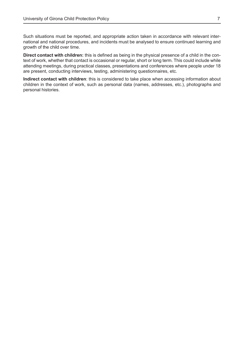Such situations must be reported, and appropriate action taken in accordance with relevant international and national procedures, and incidents must be analysed to ensure continued learning and growth of the child over time.

**Direct contact with children:** this is defined as being in the physical presence of a child in the context of work, whether that contact is occasional or regular, short or long term. This could include while attending meetings, during practical classes, presentations and conferences where people under 18 are present, conducting interviews, testing, administering questionnaires, etc.

**Indirect contact with children**: this is considered to take place when accessing information about children in the context of work, such as personal data (names, addresses, etc.), photographs and personal histories.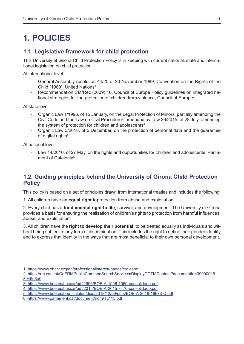## **1. POLICIES**

### **1.1. Legislative framework for child protection**

This University of Girona Child Protection Policy is in keeping with current national, state and international legislation on child protection.

At international level:

- **-** General Assembly resolution 44/25 of 20 November 1989, Convention on the Rights of the Child (1989), United Nations<sup>1</sup>
- **-** Recommendation CM/Rec (2009) 10, Council of Europe Policy guidelines on integrated national strategies for the protection of children from violence, Council of Europe<sup>2</sup>

At state level:

- **-** Organic Law 1/1996, of 15 January, on the Legal Protection of Minors, partially amending the Civil Code and the Law on Civil Procedure<sup>3</sup>, amended by Law 26/2015, of 28 July, amending the system of protection for children and adolescents<sup>4</sup>
- **-** Organic Law 3/2018, of 5 December, on the protection of personal data and the guarantee of digital rights<sup>5</sup>

At national level:

**-** Law 14/2010, of 27 May, on the rights and opportunities for children and adolescents, Parliament of Catalonia<sup>6</sup>

## **1.2. Guiding principles behind the University of Girona Child Protection Policy**

This policy is based on a set of principles drawn from international treaties and includes the following:

1. All children have an **equal right** toprotection from abuse and exploitation.

2. Every child has a **fundamental right to life**, survival, and development. The University of Girona provides a basis for ensuring the realisation of children's rights to protection from harmful influences, abuse, and exploitation.

3. All children have the **right to develop their potential**, to be treated equally as individuals and without being subject to any form of discrimination. This includes the right to define their gender identity and to express that identity in the ways that are most beneficial to their own personal development.

<sup>1.</sup> https://www.ohchr.org/en/professionalinterest/pages/crc.aspx

<sup>2.</sup> https://rm.coe.int/CoERMPublicCommonSearchServices/DisplayDCTMContent?documentId=09000016 8046d3a0

<sup>3.</sup> https://www.boe.es/buscar/pdf/1996/BOE-A-1996-1069-consolidado.pdf

<sup>4.</sup> https://www.boe.es/buscar/pdf/2015/BOE-A-2015-8470-consolidado.pdf

<sup>5.</sup> https://www.boe.es/boe\_catalan/dias/2018/12/06/pdfs/BOE-A-2018-16673-C.pdf

<sup>6.</sup> https://www.parlament.cat/document/nom/TL115.pdf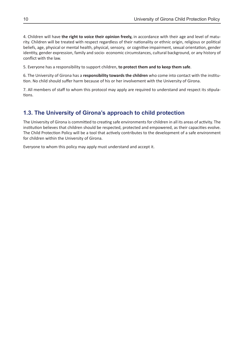4. Children will have **the right to voice their opinion freely,** in accordance with their age and level of maturity. Children will be treated with respect regardless of their nationality or ethnic origin, religious or political beliefs, age, physical or mental health, physical, sensory, or cognitive impairment, sexual orientation, gender identity, gender expression, family and socio- economic circumstances, cultural background, or any history of conflict with the law.

5. Everyone has a responsibility to support children, **to protect them and to keep them safe**.

6. The University of Girona has a **responsibility towards the children** who come into contact with the institution. No child should suffer harm because of his or her involvement with the University of Girona.

7. All members of staff to whom this protocol may apply are required to understand and respect its stipulations.

## **1.3. The University of Girona's approach to child protection**

The University of Girona is committed to creating safe environments for children in all its areas of activity. The institution believes that children should be respected, protected and empowered, as their capacities evolve. The Child Protection Policy will be a tool that actively contributes to the development of a safe environment for children within the University of Girona.

Everyone to whom this policy may apply must understand and accept it.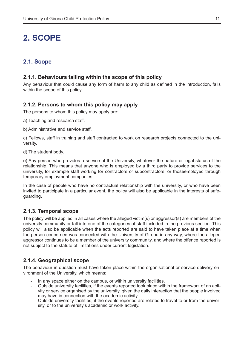## **2. SCOPE**

## **2.1. Scope**

#### **2.1.1. Behaviours falling within the scope of this policy**

Any behaviour that could cause any form of harm to any child as defined in the introduction, falls within the scope of this policy.

#### **2.1.2. Persons to whom this policy may apply**

The persons to whom this policy may apply are:

a) Teaching and research staff.

b) Administrative and service staff.

c) Fellows, staff in training and staff contracted to work on research projects connected to the university.

d) The student body.

e) Any person who provides a service at the University, whatever the nature or legal status of the relationship. This means that anyone who is employed by a third party to provide services to the university, for example staff working for contractors or subcontractors, or thoseemployed through temporary employment companies.

In the case of people who have no contractual relationship with the university, or who have been invited to participate in a particular event, the policy will also be applicable in the interests of safeguarding.

#### **2.1.3. Temporal scope**

The policy will be applied in all cases where the alleged victim(s) or aggressor(s) are members of the university community or fall into one of the categories of staff included in the previous section. This policy will also be applicable when the acts reported are said to have taken place at a time when the person concerned was connected with the University of Girona in any way, where the alleged aggressor continues to be a member of the university community, and where the offence reported is not subject to the statute of limitations under current legislation.

#### **2.1.4. Geographical scope**

The behaviour in question must have taken place within the organisational or service delivery environment of the University, which means:

- In any space either on the campus, or within university facilities.
- Outside university facilities, if the events reported took place within the framework of an activity or service organised by the university, given the daily interaction that the people involved may have in connection with the academic activity.
- Outside university facilities, if the events reported are related to travel to or from the university, or to the university's academic or work activity.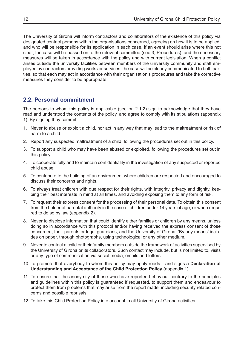The University of Girona will inform contractors and collaborators of the existence of this policy via designated contact persons within the organisations concerned, agreeing on how it is to be applied, and who will be responsible for its application in each case. If an event should arise where this not clear, the case will be passed on to the relevant committee (see 3, Procedures), and the necessary measures will be taken in accordance with the policy and with current legislation. When a conflict arises outside the university facilities between members of the university community and staff employed by contractors providing works or services, the case will be clearly communicated to both parties, so that each may act in accordance with their organisation's procedures and take the corrective measures they consider to be appropriate.

## **2.2. Personal commitment**

The persons to whom this policy is applicable (section 2.1.2) sign to acknowledge that they have read and understood the contents of the policy, and agree to comply with its stipulations (appendix 1). By signing they commit:

- 1. Never to abuse or exploit a child, nor act in any way that may lead to the maltreatment or risk of harm to a child.
- 2. Report any suspected maltreatment of a child, following the procedures set out in this policy.
- 3. To support a child who may have been abused or exploited, following the procedures set out in this policy.
- 4. To cooperate fully and to maintain confidentiality in the investigation of any suspected or reported child abuse.
- 5. To contribute to the building of an environment where children are respected and encouraged to discuss their concerns and rights.
- 6. To always treat children with due respect for their rights, with integrity, privacy and dignity, keeping their best interests in mind at all times, and avoiding exposing them to any form of risk.
- 7. To request their express consent for the processing of their personal data. To obtain this consent from the holder of parental authority in the case of children under 14 years of age, or when required to do so by law (appendix 2).
- 8. Never to disclose information that could identify either families or children by any means, unless doing so in accordance with this protocol and/or having received the express consent of those concerned, their parents or legal guardians, and the University of Girona. 'By any means' includes on paper, through photographs, using technological or any other medium.
- 9. Never to contact a child or their family members outside the framework of activities supervised by the University of Girona or its collaborators. Such contact may include, but is not limited to, visits or any type of communication via social media, emails and letters.
- 10. To promote that everybody to whom this policy may apply reads it and signs a **Declaration of Understanding and Acceptance of the Child Protection Policy (**appendix 1).
- 11. To ensure that the anonymity of those who have reported behaviour contrary to the principles and guidelines within this policy is guaranteed if requested, to support them and endeavour to protect them from problems that may arise from the report made, including security related concerns and possible reprisals.
- 12. To take this Child Protection Policy into account in all University of Girona activities.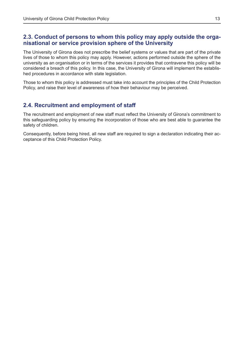### **2.3. Conduct of persons to whom this policy may apply outside the organisational or service provision sphere of the University**

The University of Girona does not prescribe the belief systems or values that are part of the private lives of those to whom this policy may apply. However, actions performed outside the sphere of the university as an organisation or in terms of the services it provides that contravene this policy will be considered a breach of this policy. In this case, the University of Girona will implement the established procedures in accordance with state legislation.

Those to whom this policy is addressed must take into account the principles of the Child Protection Policy, and raise their level of awareness of how their behaviour may be perceived.

## **2.4. Recruitment and employment of staff**

The recruitment and employment of new staff must reflect the University of Girona's commitment to this safeguarding policy by ensuring the incorporation of those who are best able to guarantee the safety of children.

Consequently, before being hired, all new staff are required to sign a declaration indicating their acceptance of this Child Protection Policy.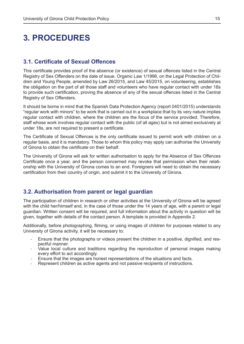## **3. PROCEDURES**

#### **3.1. Certificate of Sexual Offences**

This certificate provides proof of the absence (or existence) of sexual offences listed in the Central Registry of Sex Offenders on the date of issue. Organic Law 1/1996, on the Legal Protection of Children and Young People, amended by Law 26/2015, and Law 45/2015, on volunteering, establishes the obligation on the part of all those staff and volunteers who have regular contact with under 18s to provide such certification, proving the absence of any of the sexual offences listed in the Central Registry of Sex Offenders.

It should be borne in mind that the Spanish Data Protection Agency (report 0401/2015) understands "regular work with minors" to be work that is carried out in a workplace that by its very nature implies regular contact with children, where the children are the focus of the service provided. Therefore, staff whose work involves regular contact with the public (of all ages) but is not aimed exclusively at under 18s, are not required to present a certificate.

The Certificate of Sexual Offences is the only certificate issued to permit work with children on a regular basis, and it is mandatory. Those to whom this policy may apply can authorise the University of Girona to obtain the certificate on their behalf.

The University of Girona will ask for written authorisation to apply for the Absence of Sex Offences Certificate once a year, and the person concerned may revoke that permission when their relationship with the University of Girona comes to an end. Foreigners will need to obtain the necessary certification from their country of origin, and submit it to the University of Girona.

#### **3.2. Authorisation from parent or legal guardian**

The participation of children in research or other activities at the University of Girona will be agreed with the child her/himself and, in the case of those under the 14 years of age, with a parent or legal guardian. Written consent will be required, and full information about the activity in question will be given, together with details of the contact person. A template is provided in Appendix 2.

Additionally, before photographing, filming, or using images of children for purposes related to any University of Girona activity, it will be necessary to:

- Ensure that the photographs or videos present the children in a positive, dignified, and respectful manner.
- Value local culture and traditions regarding the reproduction of personal images making every effort to act accordingly.
- Ensure that the images are honest representations of the situations and facts.
- Represent children as active agents and not passive recipients of instructions.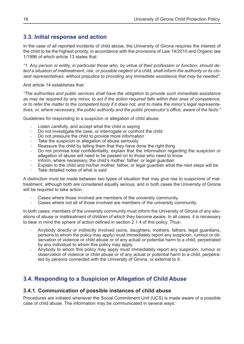## **3.3. Initial response and action**

In the case of all reported incidents of child abuse, the University of Girona requires the interest of the child to be the highest priority, in accordance with the provisions of Law 14/2010 and Organic law 1/1996 of which article 13 states that:

*"1. Any person or entity, in particular those who, by virtue of their profession or function, should detect a situation of maltreatment, risk, or possible neglect of a child, shall inform the authority or its closest representatives, without prejudice to providing any immediate assistance that may be needed".*

And article 14 establishes that:

*"The authorities and public services shall have the obligation to provide such immediate assistance as may be required by any minor, to act if the action required falls within their area of competence, or to refer the matter to the competent body if it does not, and to make the minor's legal representatives, or, where necessary, the public authority and the public prosecutor's office, aware of the facts."*

Guidelines for responding to a suspicion or allegation of child abuse:

- Listen carefully, and accept what the child is saying
- Do not investigate the case, or interrogate or confront the child
- Do not pressure the child to provide more information
- Take the suspicion or allegation of abuse seriously
- Reassure the child by telling them that they have done the right thing
- Do not promise total confidentiality, explain that the information regarding the suspicion or allegation of abuse will need to be passed on to those who need to know
- Inform, where necessary, the child's mother, father, or legal guardian
- Explain to the child and his/her mother, father, or legal guardian what the next steps will be
- Take detailed notes of what is said

A distinction must be made between two types of situation that may give rise to suspicions of maltreatment, although both are considered equally serious, and in both cases the University of Girona will be required to take action:

- Cases where those involved are members of the university community.
- Cases where not all of those involved are members of the university community.

In both cases, members of the university community must inform the University of Girona of any situations of abuse or maltreatment of children of which they become aware. In all cases, it is necessary to bear in mind the sphere of action defined in section 2.1.4 of this policy. Thus:

- Anybody directly or indirectly involved (sons, daughters, mothers, fathers, legal guardians, persons to whom the policy may apply) must immediately report any suspicion, rumour or observation of violence or child abuse or of any actual or potential harm to a child, perpetrated by any individual to whom this policy may apply.
- Anybody to whom this policy may apply must immediately report any suspicion, rumour or observation of violence or child abuse or of any actual or potential harm to a child, perpetrated by persons connected with the University of Girona, or external to it.

## **3.4. Responding to a Suspicion or Allegation of Child Abuse**

#### **3.4.1. Communication of possible instances of child abuse**

Procedures are initiated whenever the Social Commitment Unit (UCS) is made aware of a possible case of child abuse. The information may be communicated in several ways: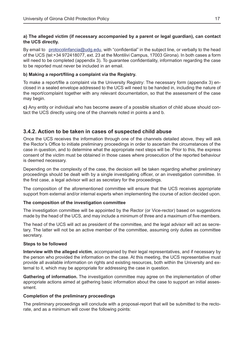#### **a) The alleged victim (if necessary accompanied by a parent or legal guardian), can contact the UCS directly.**

By email to protocolinfancia@udg.edu, with "confidential" in the subject line, or verbally to the head of the UCS (tel:+34 972418077, ext. 23 at the Montilivi Campus, 17003 Girona). In both cases a form will need to be completed (appendix 3). To guarantee confidentiality, information regarding the case to be reported must never be included in an email.

#### **b) Making a report/filing a complaint via the Registry.**

To make a report/file a complaint via the University Registry: The necessary form (appendix 3) enclosed in a sealed envelope addressed to the UCS will need to be handed in, including the nature of the report/complaint together with any relevant documentation, so that the assessment of the case may begin.

**c)** Any entity or individual who has become aware of a possible situation of child abuse should contact the UCS directly using one of the channels noted in points a and b.

## **3.4.2. Action to be taken in cases of suspected child abuse**

Once the UCS receives the information through one of the channels detailed above, they will ask the Rector's Office to initiate preliminary proceedings in order to ascertain the circumstances of the case in question, and to determine what the appropriate next steps will be. Prior to this, the express consent of the victim must be obtained in those cases where prosecution of the reported behaviour is deemed necessary.

Depending on the complexity of the case, the decision will be taken regarding whether preliminary proceedings should be dealt with by a single investigating officer, or an investigation committee. In the first case, a legal advisor will act as secretary for the proceedings.

The composition of the aforementioned committee will ensure that the UCS receives appropriate support from external and/or internal experts when implementing the course of action decided upon.

#### **The composition of the investigation committee**

The investigation committee will be appointed by the Rector (or Vice-rector) based on suggestions made by the head of the UCS, and may include a minimum of three and a maximum of five members.

The head of the UCS will act as president of the committee, and the legal advisor will act as secretary. The latter will not be an active member of the committee, assuming only duties as committee secretary.

#### **Steps to be followed**

**Interview with the alleged victim**, accompanied by their legal representatives, and if necessary by the person who provided the information on the case. At this meeting, the UCS representative must provide all available information on rights and existing resources, both within the University and external to it, which may be appropriate for addressing the case in question.

**Gathering of information.** The investigation committee may agree on the implementation of other appropriate actions aimed at gathering basic information about the case to support an initial assessment.

#### **Completion of the preliminary proceedings**

The preliminary proceedings will conclude with a proposal-report that will be submitted to the rectorate, and as a minimum will cover the following points: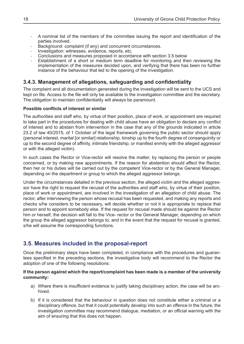- A nominal list of the members of the committee issuing the report and identification of the parties involved.
- Background: complaint (if any) and concurrent circumstances.
- Investigation: witnesses, evidence, reports, etc.
- Conclusions and measures proposed in accordance with section 3.5 below
- Establishment of a short or medium term deadline for monitoring and then reviewing the implementation of the measures decided upon, and verifying that there has been no further instance of the behaviour that led to the opening of the investigation.

### **3.4.3. Management of allegations, safeguarding and confidentiality**

The complaint and all documentation generated during the investigation will be sent to the UCS and kept on file. Access to the file will only be available to the investigation committee and the secretary. The obligation to maintain confidentiality will always be paramount.

#### **Possible conflicts of interest or similar**

The authorities and staff who, by virtue of their position, place of work, or appointment are required to take part in the procedures for dealing with child abuse have an obligation to declare any conflict of interest and to abstain from intervention in the case that any of the grounds indicated in article 23.2 of law 40/2015, of 1 October of the legal framework governing the public sector should apply (personal interest, marital [or similar] relationship, kinship up to the fourth degree of consanguinity or up to the second degree of affinity, intimate friendship, or manifest enmity with the alleged aggressor or with the alleged victim).

In such cases the Rector or Vice-rector will resolve the matter, by replacing the person or people concerned, or by making new appointments. If the reason for abstention should affect the Rector, then her or his duties will be carried out by the competent Vice-rector or by the General Manager, depending on the department or group to which the alleged aggressor belongs.

Under the circumstances detailed in the previous section, the alleged victim and the alleged aggressor have the right to request the recusal of the authorities and staff who, by virtue of their position, place of work or appointment, are involved in the investigation of an allegation of child abuse. The rector, after interviewing the person whose recusal has been requested, and making any reports and checks s/he considers to be necessary, will decide whether or not it is appropriate to replace that person and to appoint somebody else. If the request for recusal made should be against the Rector him or herself, the decision will fall to the Vice- rector or the General Manager, depending on which the group the alleged aggressor belongs to, and in the event that the request for recusal is granted, s/he will assume the corresponding functions.

## **3.5. Measures included in the proposal-report**

Once the preliminary steps have been completed, in compliance with the procedures and guarantees specified in the preceding sections, the investigative body will recommend to the Rector the adoption of one of the following resolutions:

#### **If the person against which the report/complaint has been made is a member of the university community:**

- a) Where there is insufficient evidence to justify taking disciplinary action, the case will be archived.
- b) If it is considered that the behaviour in question does not constitute either a criminal or a disciplinary offence, but that it could potentially develop into such an offence in the future, the investigation committee may recommend dialogue, mediation, or an official warning with the aim of ensuring that this does not happen.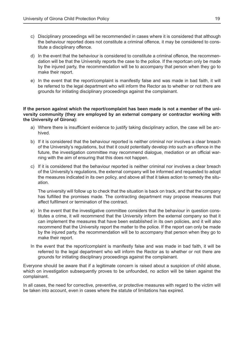- c) Disciplinary proceedings will be recommended in cases where it is considered that although the behaviour reported does not constitute a criminal offence, it may be considered to constitute a disciplinary offence.
- d) In the event that the behaviour is considered to constitute a criminal offence, the recommendation will be that the University reports the case to the police. If the reportcan only be made by the injured party, the recommendation will be to accompany that person when they go to make their report.
- e) In the event that the report/complaint is manifestly false and was made in bad faith, it will be referred to the legal department who will inform the Rector as to whether or not there are grounds for initiating disciplinary proceedings against the complainant.

#### **If the person against which the report/complaint has been made is not a member of the university community (they are employed by an external company or contractor working with the University of Girona):**

- a) Where there is insufficient evidence to justify taking disciplinary action, the case will be archived.
- b) If it is considered that the behaviour reported is neither criminal nor involves a clear breach of the University's regulations, but that it could potentially develop into such an offence in the future, the investigation committee may recommend dialogue, mediation or an official warning with the aim of ensuring that this does not happen.
- c) If it is considered that the behaviour reported is neither criminal nor involves a clear breach of the University's regulations, the external company will be informed and requested to adopt the measures indicated in its own policy, and above all that it takes action to remedy the situation.

The university will follow up to check that the situation is back on track, and that the company has fulfilled the promises made. The contracting department may propose measures that affect fulfilment or termination of the contract.

- e) In the event that the investigative committee considers that the behaviour in question constitutes a crime, it will recommend that the University inform the external company so that it can implement the measures that have been established in its own policies, and it will also recommend that the University report the matter to the police. If the report can only be made by the injured party, the recommendation will be to accompany that person when they go to make their report.
- In the event that the report/complaint is manifestly false and was made in bad faith, it will be referred to the legal department who will inform the Rector as to whether or not there are grounds for initiating disciplinary proceedings against the complainant.

Everyone should be aware that if a legitimate concern is raised about a suspicion of child abuse, which on investigation subsequently proves to be unfounded, no action will be taken against the complainant.

In all cases, the need for corrective, preventive, or protective measures with regard to the victim will be taken into account, even in cases where the statute of limitations has expired.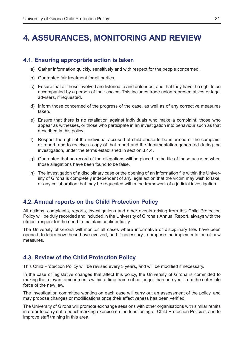## **4. ASSURANCES, MONITORING AND REVIEW**

#### **4.1. Ensuring appropriate action is taken**

- a) Gather information quickly, sensitively and with respect for the people concerned.
- b) Guarantee fair treatment for all parties.
- c) Ensure that all those involved are listened to and defended, and that they have the right to be accompanied by a person of their choice. This includes trade union representatives or legal advisers, if requested.
- d) Inform those concerned of the progress of the case, as well as of any corrective measures taken.
- e) Ensure that there is no retaliation against individuals who make a complaint, those who appear as witnesses, or those who participate in an investigation into behaviour such as that described in this policy.
- f) Respect the right of the individual accused of child abuse to be informed of the complaint or report, and to receive a copy of that report and the documentation generated during the investigation, under the terms established in section 3.4.4.
- g) Guarantee that no record of the allegations will be placed in the file of those accused when those allegations have been found to be false.
- h) The investigation of a disciplinary case or the opening of an information file within the University of Girona is completely independent of any legal action that the victim may wish to take, or any collaboration that may be requested within the framework of a judicial investigation.

## **4.2. Annual reports on the Child Protection Policy**

All actions, complaints, reports, investigations and other events arising from this Child Protection Policy will be duly recorded and included in the University of Girona's Annual Report, always with the utmost respect for the need to maintain confidentiality.

The University of Girona will monitor all cases where informative or disciplinary files have been opened, to learn how these have evolved, and if necessary to propose the implementation of new measures.

## **4.3. Review of the Child Protection Policy**

This Child Protection Policy will be revised every 3 years, and will be modified if necessary.

In the case of legislative changes that affect this policy, the University of Girona is committed to making the relevant amendments within a time frame of no longer than one year from the entry into force of the new law.

The investigation committee working on each case will carry out an assessment of the policy, and may propose changes or modifications once their effectiveness has been verified.

The University of Girona will promote exchange sessions with other organisations with similar remits in order to carry out a benchmarking exercise on the functioning of Child Protection Policies, and to improve staff training in this area.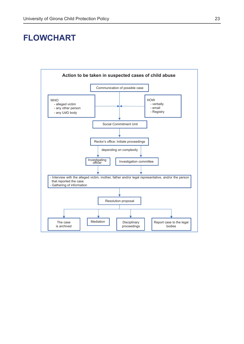## **FLOWCHART**

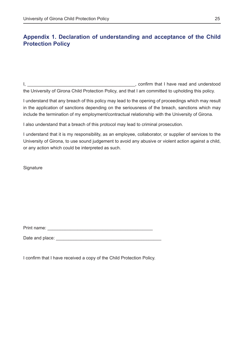## **Appendix 1. Declaration of understanding and acceptance of the Child Protection Policy**

I, \_\_\_\_\_\_\_\_\_\_\_\_\_\_\_\_\_\_\_\_\_\_\_\_\_\_\_\_\_\_\_\_\_\_\_\_\_\_\_\_\_\_\_, confirm that I have read and understood the University of Girona Child Protection Policy, and that I am committed to upholding this policy.

I understand that any breach of this policy may lead to the opening of proceedings which may result in the application of sanctions depending on the seriousness of the breach, sanctions which may include the termination of my employment/contractual relationship with the University of Girona.

I also understand that a breach of this protocol may lead to criminal prosecution.

I understand that it is my responsibility, as an employee, collaborator, or supplier of services to the University of Girona, to use sound judgement to avoid any abusive or violent action against a child, or any action which could be interpreted as such.

**Signature** 

Print name: \_\_\_\_\_\_\_\_\_\_\_\_\_\_\_\_\_\_\_\_\_\_\_\_\_\_\_\_\_\_\_\_\_\_\_\_\_\_\_\_\_\_

Date and place:  $\Box$ 

I confirm that I have received a copy of the Child Protection Policy.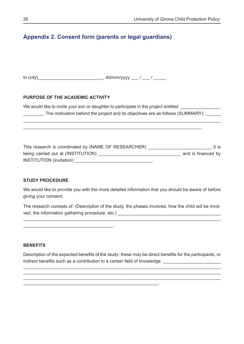## **Appendix 2. Consent form (parents or legal guardians)**

In (*city*)\_\_\_\_\_\_\_\_\_\_\_\_\_\_\_\_\_\_\_\_\_\_\_\_\_\_, dd/mm/yyyy \_\_\_ / \_\_\_ / \_\_\_\_\_

#### **PURPOSE OF THE ACADEMIC ACTIVITY**

\_\_\_\_\_\_\_\_\_\_\_\_\_\_\_\_\_\_\_\_\_\_\_\_\_\_\_\_\_\_\_\_\_\_\_\_.

We would like to invite your son or daughter to participate in the project entitled \_\_\_\_\_\_\_\_. The motivation behind the project and its objectives are as follows (SUMMARY): \_\_\_\_\_\_

 $\overline{\phantom{a}}$  , and the contract of the contract of the contract of the contract of the contract of the contract of the contract of the contract of the contract of the contract of the contract of the contract of the contrac

\_\_\_\_\_\_\_\_\_\_\_\_\_\_\_\_\_\_\_\_\_\_\_\_\_\_\_\_\_\_\_\_\_\_\_\_\_\_\_\_\_\_\_\_\_\_\_\_\_\_\_\_\_\_\_\_\_\_\_\_\_\_\_\_\_\_\_\_\_\_\_\_\_\_\_\_\_\_

This research is coordinated by (NAME OF RESEARCHER) \_\_\_\_\_\_\_\_\_\_\_\_\_\_\_\_\_\_\_\_\_\_\_\_, it is being carried out at (INSTITUTION) \_\_\_\_\_\_\_\_\_\_\_\_\_\_\_\_\_\_\_\_\_\_\_\_\_\_\_\_\_\_\_\_\_ and is financed by INSTITUTION (invitation) \_\_\_\_\_\_\_\_\_\_\_\_\_\_\_\_\_\_\_\_\_\_\_\_\_\_\_\_\_\_\_.

#### **STUDY PROCEDURE**

We would like to provide you with the more detailed information that you should be aware of before giving your consent.

The research consists of: (Description of the study, the phases involved, how the child will be involved, the information gathering procedure, etc.)

\_\_\_\_\_\_\_\_\_\_\_\_\_\_\_\_\_\_\_\_\_\_\_\_\_\_\_\_\_\_\_\_\_\_\_\_\_\_\_\_\_\_\_\_\_\_\_\_\_\_\_\_\_\_\_\_\_\_\_\_\_\_\_\_\_\_\_\_\_\_\_\_\_\_\_\_\_\_

#### **BENEFITS**

Description of the expected benefits of the study: these may be direct benefits for the participants, or indirect benefits such as a contribution to a certain field of knowledge.

\_\_\_\_\_\_\_\_\_\_\_\_\_\_\_\_\_\_\_\_\_\_\_\_\_\_\_\_\_\_\_\_\_\_\_\_\_\_\_\_\_\_\_\_\_\_\_\_\_\_\_\_\_\_\_\_\_\_\_\_\_\_\_\_\_\_\_\_\_\_\_\_\_\_\_\_\_\_ \_\_\_\_\_\_\_\_\_\_\_\_\_\_\_\_\_\_\_\_\_\_\_\_\_\_\_\_\_\_\_\_\_\_\_\_\_\_\_\_\_\_\_\_\_\_\_\_\_\_\_\_\_\_\_\_\_\_\_\_\_\_\_\_\_\_\_\_\_\_\_\_\_\_\_\_\_\_ \_\_\_\_\_\_\_\_\_\_\_\_\_\_\_\_\_\_\_\_\_\_\_\_\_\_\_\_\_\_\_\_\_\_\_\_\_\_\_\_\_\_\_\_\_\_\_\_\_\_\_\_\_\_\_\_\_\_\_\_\_\_\_\_\_\_\_\_\_\_\_\_\_\_\_\_\_\_

\_\_\_\_\_\_\_\_\_\_\_\_\_\_\_\_\_\_\_\_\_\_\_\_\_\_\_\_\_\_\_\_\_\_\_\_\_\_\_\_\_\_\_\_\_\_\_\_\_\_\_\_\_\_.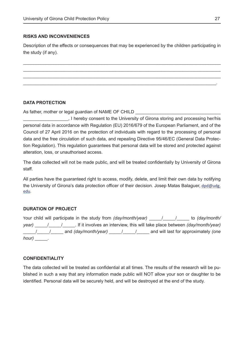#### **RISKS AND INCONVENIENCES**

Description of the effects or consequences that may be experienced by the children participating in the study (if any).

\_\_\_\_\_\_\_\_\_\_\_\_\_\_\_\_\_\_\_\_\_\_\_\_\_\_\_\_\_\_\_\_\_\_\_\_\_\_\_\_\_\_\_\_\_\_\_\_\_\_\_\_\_\_\_\_\_\_\_\_\_\_\_\_\_\_\_\_\_\_\_\_\_\_\_\_\_\_  $\_$  , and the set of the set of the set of the set of the set of the set of the set of the set of the set of the set of the set of the set of the set of the set of the set of the set of the set of the set of the set of th \_\_\_\_\_\_\_\_\_\_\_\_\_\_\_\_\_\_\_\_\_\_\_\_\_\_\_\_\_\_\_\_\_\_\_\_\_\_\_\_\_\_\_\_\_\_\_\_\_\_\_\_\_\_\_\_\_\_\_\_\_\_\_\_\_\_\_\_\_\_\_\_\_\_\_\_\_\_  $\mathcal{L}_\mathcal{L} = \mathcal{L}_\mathcal{L} = \mathcal{L}_\mathcal{L} = \mathcal{L}_\mathcal{L} = \mathcal{L}_\mathcal{L} = \mathcal{L}_\mathcal{L} = \mathcal{L}_\mathcal{L} = \mathcal{L}_\mathcal{L} = \mathcal{L}_\mathcal{L} = \mathcal{L}_\mathcal{L} = \mathcal{L}_\mathcal{L} = \mathcal{L}_\mathcal{L} = \mathcal{L}_\mathcal{L} = \mathcal{L}_\mathcal{L} = \mathcal{L}_\mathcal{L} = \mathcal{L}_\mathcal{L} = \mathcal{L}_\mathcal{L}$ 

#### **DATA PROTECTION**

As father, mother or legal guardian of NAME OF CHILD

\_\_\_\_\_\_\_\_\_\_\_\_\_\_\_\_\_\_, I hereby consent to the University of Girona storing and processing her/his personal data in accordance with Regulation (EU) 2016/679 of the European Parliament, and of the Council of 27 April 2016 on the protection of individuals with regard to the processing of personal data and the free circulation of such data, and repealing Directive 95/46/EC (General Data Protection Regulation). This regulation guarantees that personal data will be stored and protected against alteration, loss, or unauthorised access.

The data collected will not be made public, and will be treated confidentially by University of Girona staff.

All parties have the guaranteed right to access, modify, delete, and limit their own data by notifying the University of Girona's data protection officer of their decision. Josep Matas Balaguer, dpd@udg. edu.

#### **DURATION OF PROJECT**

Your child will participate in the study from *(day/month/year)* / / / to *(day/month/ year)* / / *If it involves an interview, this will take place between <i>(day/month/year)* \_\_\_\_\_/\_\_\_\_\_/\_\_\_\_\_ and *(day/month/year)* \_\_\_\_\_/\_\_\_\_\_/\_\_\_\_\_ and will last for approximately *(one hour)* \_\_\_\_\_.

#### **CONFIDENTIALITY**

The data collected will be treated as confidential at all times. The results of the research will be published in such a way that any information made public will NOT allow your son or daughter to be identified. Personal data will be securely held, and will be destroyed at the end of the study.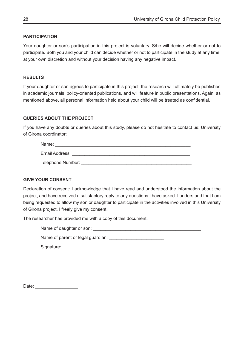#### **PARTICIPATION**

Your daughter or son's participation in this project is voluntary. S/he will decide whether or not to participate. Both you and your child can decide whether or not to participate in the study at any time, at your own discretion and without your decision having any negative impact.

#### **RESULTS**

If your daughter or son agrees to participate in this project, the research will ultimately be published in academic journals, policy-oriented publications, and will feature in public presentations. Again, as mentioned above, all personal information held about your child will be treated as confidential.

#### **QUERIES ABOUT THE PROJECT**

If you have any doubts or queries about this study, please do not hesitate to contact us: University of Girona coordinator:

| Name:             |
|-------------------|
| Email Address:    |
| Telephone Number: |

#### **GIVE YOUR CONSENT**

Declaration of consent: I acknowledge that I have read and understood the information about the project, and have received a satisfactory reply to any questions I have asked. I understand that I am being requested to allow my son or daughter to participate in the activities involved in this University of Girona project. I freely give my consent.

The researcher has provided me with a copy of this document.

Name of daughter or son: \_\_\_\_\_\_\_\_\_\_\_\_\_\_\_\_\_\_\_\_\_\_\_\_\_\_\_\_\_\_\_\_\_\_\_\_\_\_\_\_\_\_\_

Name of parent or legal guardian:

Signature: \_\_\_\_\_\_\_\_\_\_\_\_\_\_\_\_\_\_\_\_\_\_\_\_\_\_\_\_\_\_\_\_\_\_\_\_\_\_\_\_\_\_\_\_\_\_\_\_\_\_\_\_\_\_\_\_

Date:  $\Box$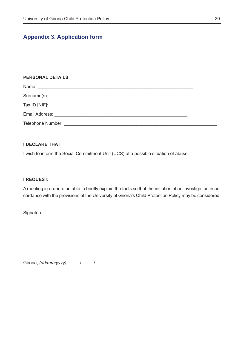## **Appendix 3. Application form**

#### **PERSONAL DETAILS**

| Telephone Number: Telephone Number: |  |  |
|-------------------------------------|--|--|

#### **I DECLARE THAT**

I wish to inform the Social Commitment Unit (UCS) of a possible situation of abuse.

#### **I REQUEST:**

A meeting in order to be able to briefly explain the facts so that the initiation of an investigation in accordance with the provisions of the University of Girona's Child Protection Policy may be considered.

**Signature** 

Girona, *(dd/mm/yyyy)* \_\_\_\_\_/ \_\_\_\_\_/